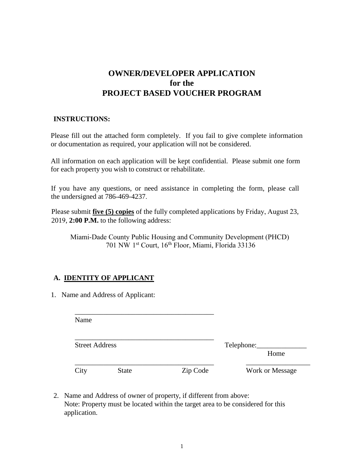## **OWNER/DEVELOPER APPLICATION for the PROJECT BASED VOUCHER PROGRAM**

## **INSTRUCTIONS:**

Please fill out the attached form completely. If you fail to give complete information or documentation as required, your application will not be considered.

All information on each application will be kept confidential. Please submit one form for each property you wish to construct or rehabilitate.

If you have any questions, or need assistance in completing the form, please call the undersigned at 786-469-4237.

Please submit **five (5) copies** of the fully completed applications by Friday, August 23, 2019, **2:00 P.M.** to the following address:

Miami-Dade County Public Housing and Community Development (PHCD) 701 NW 1 st Court, 16 th Floor, Miami, Florida 33136

## **A. IDENTITY OF APPLICANT**

1. Name and Address of Applicant:

Name

Street Address Telephone:

Home

\_\_\_\_\_\_\_\_\_\_\_\_\_\_\_\_\_\_\_\_\_\_\_\_\_\_\_\_\_\_\_\_\_\_\_\_\_\_\_ \_\_\_\_\_\_\_\_\_\_\_\_\_\_\_\_\_\_ City State Zip Code Work or Message

\_\_\_\_\_\_\_\_\_\_\_\_\_\_\_\_\_\_\_\_\_\_\_\_\_\_\_\_\_\_\_\_\_\_\_\_\_\_\_

\_\_\_\_\_\_\_\_\_\_\_\_\_\_\_\_\_\_\_\_\_\_\_\_\_\_\_\_\_\_\_\_\_\_\_\_\_\_\_

2. Name and Address of owner of property, if different from above: Note: Property must be located within the target area to be considered for this application.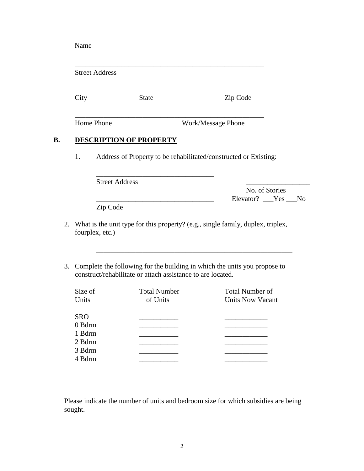|                   | <b>Street Address</b>                                            |                                          |
|-------------------|------------------------------------------------------------------|------------------------------------------|
| City              | <b>State</b>                                                     | Zip Code                                 |
| <b>Home Phone</b> |                                                                  | Work/Message Phone                       |
|                   | <b>DESCRIPTION OF PROPERTY</b>                                   |                                          |
|                   |                                                                  |                                          |
| 1.                | Address of Property to be rehabilitated/constructed or Existing: |                                          |
|                   | <b>Street Address</b>                                            |                                          |
|                   |                                                                  | No. of Stories<br>Elevator? ___Yes ___No |

3. Complete the following for the building in which the units you propose to construct/rehabilitate or attach assistance to are located.

| Size of<br>Units | <b>Total Number</b><br>of Units | <b>Total Number of</b><br>Units Now Vacant |
|------------------|---------------------------------|--------------------------------------------|
| <b>SRO</b>       |                                 |                                            |
| 0 Bdrm           |                                 |                                            |
| 1 Bdrm           |                                 |                                            |
| 2 Bdrm           |                                 |                                            |
| 3 Bdrm           |                                 |                                            |
| 4 Bdrm           |                                 |                                            |
|                  |                                 |                                            |

Please indicate the number of units and bedroom size for which subsidies are being sought.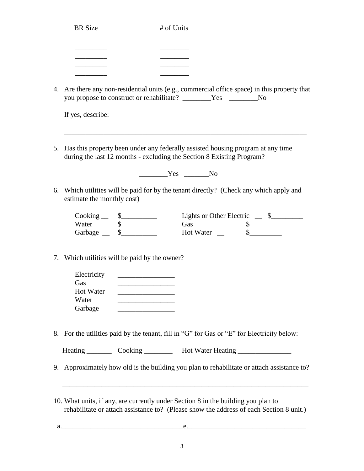| <b>BR</b> Size | # of Units |  |
|----------------|------------|--|
|                |            |  |
|                |            |  |
|                |            |  |
|                |            |  |
|                |            |  |
|                |            |  |

4. Are there any non-residential units (e.g., commercial office space) in this property that you propose to construct or rehabilitate? \_\_\_\_\_\_\_\_Yes \_\_\_\_\_\_\_\_No

 $\overline{\phantom{a}}$  ,  $\overline{\phantom{a}}$  ,  $\overline{\phantom{a}}$  ,  $\overline{\phantom{a}}$  ,  $\overline{\phantom{a}}$  ,  $\overline{\phantom{a}}$  ,  $\overline{\phantom{a}}$  ,  $\overline{\phantom{a}}$  ,  $\overline{\phantom{a}}$  ,  $\overline{\phantom{a}}$  ,  $\overline{\phantom{a}}$  ,  $\overline{\phantom{a}}$  ,  $\overline{\phantom{a}}$  ,  $\overline{\phantom{a}}$  ,  $\overline{\phantom{a}}$  ,  $\overline{\phantom{a}}$ 

If yes, describe:

5. Has this property been under any federally assisted housing program at any time during the last 12 months - excluding the Section 8 Existing Program?

\_\_\_\_\_\_\_\_Yes \_\_\_\_\_\_\_No

6. Which utilities will be paid for by the tenant directly? (Check any which apply and estimate the monthly cost)

| Cooking | Lights or Other Electric |  |
|---------|--------------------------|--|
| Water   | Cias                     |  |
| Garbage | Hot Water                |  |

7. Which utilities will be paid by the owner?

| Electricity      |  |
|------------------|--|
| Gas              |  |
| <b>Hot Water</b> |  |
| Water            |  |
| Garbage          |  |

8. For the utilities paid by the tenant, fill in "G" for Gas or "E" for Electricity below:

| Heating | Cooking | <b>Hot Water Heating</b> |
|---------|---------|--------------------------|
|---------|---------|--------------------------|

9. Approximately how old is the building you plan to rehabilitate or attach assistance to?

 $\overline{\phantom{a}}$  ,  $\overline{\phantom{a}}$  ,  $\overline{\phantom{a}}$  ,  $\overline{\phantom{a}}$  ,  $\overline{\phantom{a}}$  ,  $\overline{\phantom{a}}$  ,  $\overline{\phantom{a}}$  ,  $\overline{\phantom{a}}$  ,  $\overline{\phantom{a}}$  ,  $\overline{\phantom{a}}$  ,  $\overline{\phantom{a}}$  ,  $\overline{\phantom{a}}$  ,  $\overline{\phantom{a}}$  ,  $\overline{\phantom{a}}$  ,  $\overline{\phantom{a}}$  ,  $\overline{\phantom{a}}$ 

10. What units, if any, are currently under Section 8 in the building you plan to rehabilitate or attach assistance to? (Please show the address of each Section 8 unit.)

a.  $\qquad e.$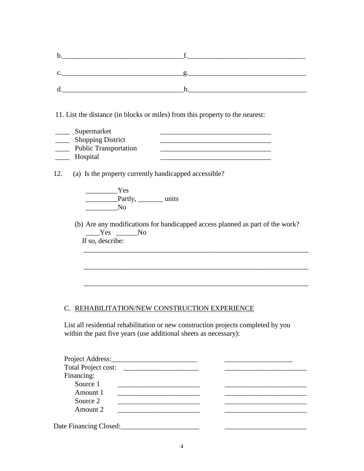11. List the distance (in blocks or miles) from this property to the nearest:

| Supermarket                  |  |
|------------------------------|--|
| <b>Shopping District</b>     |  |
| <b>Public Transportation</b> |  |
| Hospital                     |  |

12. (a) Is the property currently handicapped accessible?

 \_\_\_\_\_\_\_\_\_Yes **Departly, Latter and Solution** units  $\overline{\phantom{a}}$ No

(b) Are any modifications for handicapped access planned as part of the work? \_\_\_\_Yes \_\_\_\_\_\_No If so, describe:

 $\overline{\phantom{a}}$  , and the contribution of the contribution of the contribution of the contribution of the contribution of the contribution of the contribution of the contribution of the contribution of the contribution of the

 $\overline{\phantom{a}}$  ,  $\overline{\phantom{a}}$  ,  $\overline{\phantom{a}}$  ,  $\overline{\phantom{a}}$  ,  $\overline{\phantom{a}}$  ,  $\overline{\phantom{a}}$  ,  $\overline{\phantom{a}}$  ,  $\overline{\phantom{a}}$  ,  $\overline{\phantom{a}}$  ,  $\overline{\phantom{a}}$  ,  $\overline{\phantom{a}}$  ,  $\overline{\phantom{a}}$  ,  $\overline{\phantom{a}}$  ,  $\overline{\phantom{a}}$  ,  $\overline{\phantom{a}}$  ,  $\overline{\phantom{a}}$ 

\_\_\_\_\_\_\_\_\_\_\_\_\_\_\_\_\_\_\_\_\_\_\_\_\_\_\_\_\_\_\_\_\_\_\_\_\_\_\_\_\_\_\_\_\_\_\_\_\_\_\_\_\_\_\_\_\_\_\_\_\_\_\_

#### C. REHABILITATION/NEW CONSTRUCTION EXPERIENCE

List all residential rehabilitation or new construction projects completed by you within the past five years (use additional sheets as necessary):

| Project Address:           |  |  |
|----------------------------|--|--|
| <b>Total Project cost:</b> |  |  |
| Financing:                 |  |  |
| Source 1                   |  |  |
| Amount 1                   |  |  |
| Source 2                   |  |  |
| Amount 2                   |  |  |
|                            |  |  |
| Date Financing Closed:     |  |  |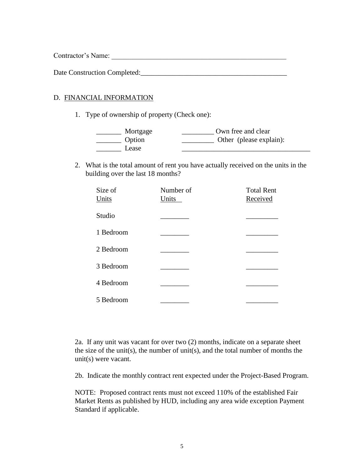Contractor's Name: \_\_\_\_\_\_\_\_\_\_\_\_\_\_\_\_\_\_\_\_\_\_\_\_\_\_\_\_\_\_\_\_\_\_\_\_\_\_\_\_\_\_\_\_\_\_\_\_\_

Date Construction Completed:\_\_\_\_\_\_\_\_\_\_\_\_\_\_\_\_\_\_\_\_\_\_\_\_\_\_\_\_\_\_\_\_\_\_\_\_\_\_\_\_\_

## D. FINANCIAL INFORMATION

1. Type of ownership of property (Check one):

| Mortgage | Own free and clear      |
|----------|-------------------------|
| Option   | Other (please explain): |
| Lease    |                         |

2. What is the total amount of rent you have actually received on the units in the building over the last 18 months?

| Size of<br>Units | Number of<br>Units | <b>Total Rent</b><br>Received |
|------------------|--------------------|-------------------------------|
| Studio           |                    |                               |
| 1 Bedroom        |                    |                               |
| 2 Bedroom        |                    |                               |
| 3 Bedroom        |                    |                               |
| 4 Bedroom        |                    |                               |
| 5 Bedroom        |                    |                               |

2a. If any unit was vacant for over two (2) months, indicate on a separate sheet the size of the unit(s), the number of unit(s), and the total number of months the unit(s) were vacant.

2b. Indicate the monthly contract rent expected under the Project-Based Program.

NOTE: Proposed contract rents must not exceed 110% of the established Fair Market Rents as published by HUD, including any area wide exception Payment Standard if applicable.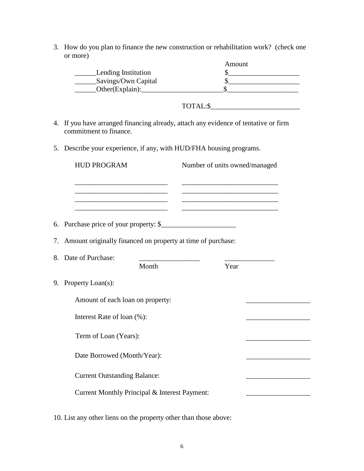3. How do you plan to finance the new construction or rehabilitation work? (check one or more)

|                            | Amount |
|----------------------------|--------|
| <b>Lending Institution</b> |        |
| Savings/Own Capital        |        |
| Other (Explain):           |        |

- 4. If you have arranged financing already, attach any evidence of tentative or firm commitment to finance.
- 5. Describe your experience, if any, with HUD/FHA housing programs.

| <b>HUD PROGRAM</b>                                             | Number of units owned/managed                            |
|----------------------------------------------------------------|----------------------------------------------------------|
|                                                                |                                                          |
|                                                                |                                                          |
| 6. Purchase price of your property: \$                         | <u> 1989 - Johann John Stone, mars eta biztanleria (</u> |
| 7. Amount originally financed on property at time of purchase: |                                                          |
| 8. Date of Purchase:<br>Month                                  | Year                                                     |
| 9. Property Loan(s):                                           |                                                          |
| Amount of each loan on property:                               |                                                          |
| Interest Rate of loan (%):                                     |                                                          |
| Term of Loan (Years):                                          |                                                          |
| Date Borrowed (Month/Year):                                    |                                                          |
| <b>Current Outstanding Balance:</b>                            |                                                          |
| Current Monthly Principal & Interest Payment:                  |                                                          |
|                                                                |                                                          |

10. List any other liens on the property other than those above: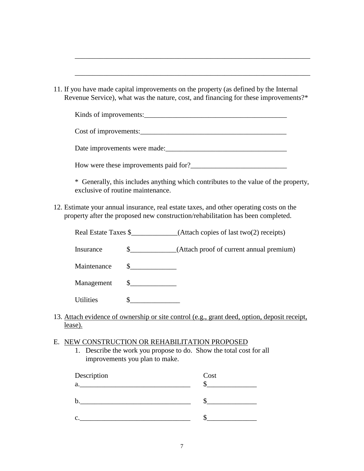11. If you have made capital improvements on the property (as defined by the Internal Revenue Service), what was the nature, cost, and financing for these improvements?\*

\_\_\_\_\_\_\_\_\_\_\_\_\_\_\_\_\_\_\_\_\_\_\_\_\_\_\_\_\_\_\_\_\_\_\_\_\_\_\_\_\_\_\_\_\_\_\_\_\_\_\_\_\_\_\_\_\_\_\_\_\_\_\_\_\_\_

\_\_\_\_\_\_\_\_\_\_\_\_\_\_\_\_\_\_\_\_\_\_\_\_\_\_\_\_\_\_\_\_\_\_\_\_\_\_\_\_\_\_\_\_\_\_\_\_\_\_\_\_\_\_\_\_\_\_\_\_\_\_\_\_\_\_

| Kinds of improvements:                |
|---------------------------------------|
| Cost of improvements:                 |
| Date improvements were made:          |
| How were these improvements paid for? |

\* Generally, this includes anything which contributes to the value of the property, exclusive of routine maintenance.

12. Estimate your annual insurance, real estate taxes, and other operating costs on the property after the proposed new construction/rehabilitation has been completed.

Real Estate Taxes \$ (Attach copies of last two(2) receipts)

Insurance  $\qquad$  \$ (Attach proof of current annual premium)

| Management |  |
|------------|--|
|            |  |

Utilities  $\qquad \qquad \text{\$\$}$ 

13. Attach evidence of ownership or site control (e.g., grant deed, option, deposit receipt, lease).

## E. NEW CONSTRUCTION OR REHABILITATION PROPOSED

1. Describe the work you propose to do. Show the total cost for all improvements you plan to make.

| Description | Cost |
|-------------|------|
| a.          |      |
| b.          |      |
| c.          |      |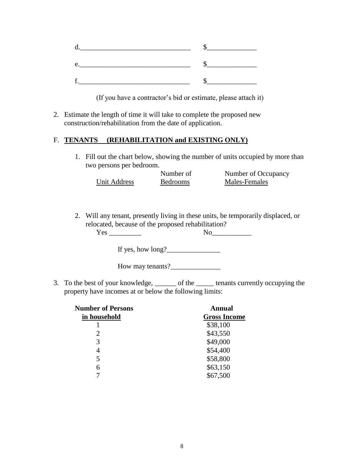| d  |  |
|----|--|
| e. |  |
|    |  |

(If you have a contractor's bid or estimate, please attach it)

2. Estimate the length of time it will take to complete the proposed new construction/rehabilitation from the date of application.

#### F. **TENANTS (REHABILITATION and EXISTING ONLY)**

1. Fill out the chart below, showing the number of units occupied by more than two persons per bedroom.

|              | Number of       | Number of Occupancy |
|--------------|-----------------|---------------------|
| Unit Address | <b>Bedrooms</b> | Males-Females       |

2. Will any tenant, presently living in these units, be temporarily displaced, or relocated, because of the proposed rehabilitation? Yes \_\_\_\_\_\_\_\_\_ No\_\_\_\_\_\_\_\_\_\_\_

If yes, how long?\_\_\_\_\_\_\_\_\_\_\_\_\_\_\_

How may tenants?\_\_\_\_\_\_\_\_\_\_\_\_\_\_

3. To the best of your knowledge, \_\_\_\_\_\_ of the \_\_\_\_\_ tenants currently occupying the property have incomes at or below the following limits:

| <b>Number of Persons</b> | Annual<br><b>Gross Income</b> |  |
|--------------------------|-------------------------------|--|
| in household             |                               |  |
|                          | \$38,100                      |  |
| 2                        | \$43,550                      |  |
| 3                        | \$49,000                      |  |
| 4                        | \$54,400                      |  |
| 5                        | \$58,800                      |  |
| 6                        | \$63,150                      |  |
|                          | \$67,500                      |  |
|                          |                               |  |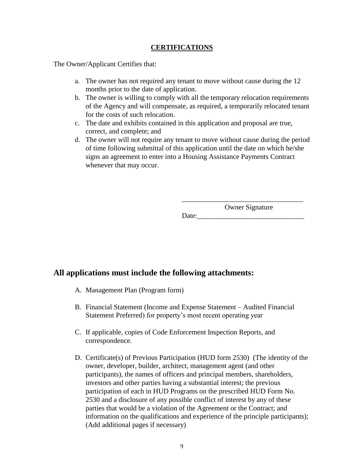## **CERTIFICATIONS**

The Owner/Applicant Certifies that:

- a. The owner has not required any tenant to move without cause during the 12 months prior to the date of application.
- b. The owner is willing to comply with all the temporary relocation requirements of the Agency and will compensate, as required, a temporarily relocated tenant for the costs of such relocation.
- c. The date and exhibits contained in this application and proposal are true, correct, and complete; and
- d. The owner will not require any tenant to move without cause during the period of time following submittal of this application until the date on which he/she signs an agreement to enter into a Housing Assistance Payments Contract whenever that may occur.

Owner Signature

Date:

\_\_\_\_\_\_\_\_\_\_\_\_\_\_\_\_\_\_\_\_\_\_\_\_\_\_\_\_\_\_\_\_\_\_

## **All applications must include the following attachments:**

- A. Management Plan (Program form)
- B. Financial Statement (Income and Expense Statement Audited Financial Statement Preferred) for property's most recent operating year
- C. If applicable, copies of Code Enforcement Inspection Reports, and correspondence.
- D. Certificate(s) of Previous Participation (HUD form 2530) (The identity of the owner, developer, builder, architect, management agent (and other participants), the names of officers and principal members, shareholders, investors and other parties having a substantial interest; the previous participation of each in HUD Programs on the prescribed HUD Form No. 2530 and a disclosure of any possible conflict of interest by any of these parties that would be a violation of the Agreement or the Contract; and information on the qualifications and experience of the principle participants); (Add additional pages if necessary)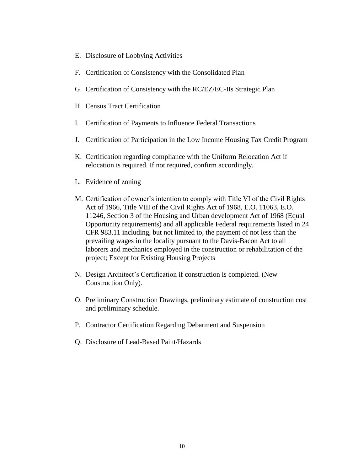- E. Disclosure of Lobbying Activities
- F. Certification of Consistency with the Consolidated Plan
- G. Certification of Consistency with the RC/EZ/EC-IIs Strategic Plan
- H. Census Tract Certification
- I. Certification of Payments to Influence Federal Transactions
- J. Certification of Participation in the Low Income Housing Tax Credit Program
- K. Certification regarding compliance with the Uniform Relocation Act if relocation is required. If not required, confirm accordingly.
- L. Evidence of zoning
- M. Certification of owner's intention to comply with Title VI of the Civil Rights Act of 1966, Title VIII of the Civil Rights Act of 1968, E.O. 11063, E.O. 11246, Section 3 of the Housing and Urban development Act of 1968 (Equal Opportunity requirements) and all applicable Federal requirements listed in 24 CFR 983.11 including, but not limited to, the payment of not less than the prevailing wages in the locality pursuant to the Davis-Bacon Act to all laborers and mechanics employed in the construction or rehabilitation of the project; Except for Existing Housing Projects
- N. Design Architect's Certification if construction is completed. (New Construction Only).
- O. Preliminary Construction Drawings, preliminary estimate of construction cost and preliminary schedule.
- P. Contractor Certification Regarding Debarment and Suspension
- Q. Disclosure of Lead-Based Paint/Hazards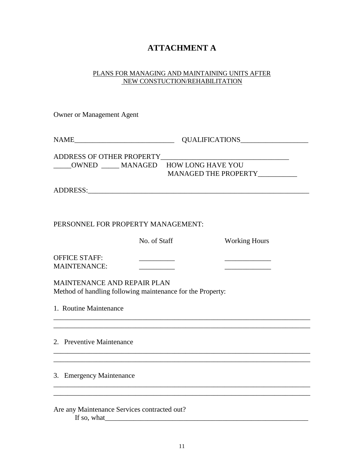# **ATTACHMENT A**

#### PLANS FOR MANAGING AND MAINTAINING UNITS AFTER NEW CONSTUCTION/REHABILITATION

| <b>Owner or Management Agent</b>                                                                 |              |                      |
|--------------------------------------------------------------------------------------------------|--------------|----------------------|
|                                                                                                  |              |                      |
| ADDRESS OF OTHER PROPERTY                                                                        |              |                      |
| _____OWNED _____ MANAGED HOW LONG HAVE YOU                                                       |              |                      |
|                                                                                                  |              | MANAGED THE PROPERTY |
|                                                                                                  |              |                      |
|                                                                                                  |              |                      |
| PERSONNEL FOR PROPERTY MANAGEMENT:                                                               |              |                      |
|                                                                                                  | No. of Staff | <b>Working Hours</b> |
|                                                                                                  |              |                      |
| <b>OFFICE STAFF:</b>                                                                             |              |                      |
| <b>MAINTENANCE:</b>                                                                              |              |                      |
| <b>MAINTENANCE AND REPAIR PLAN</b><br>Method of handling following maintenance for the Property: |              |                      |
| 1. Routine Maintenance                                                                           |              |                      |
|                                                                                                  |              |                      |
| 2. Preventive Maintenance                                                                        |              |                      |
|                                                                                                  |              |                      |
| 3. Emergency Maintenance                                                                         |              |                      |
|                                                                                                  |              |                      |
| Are any Maintenance Services contracted out?<br>If so, what                                      |              |                      |